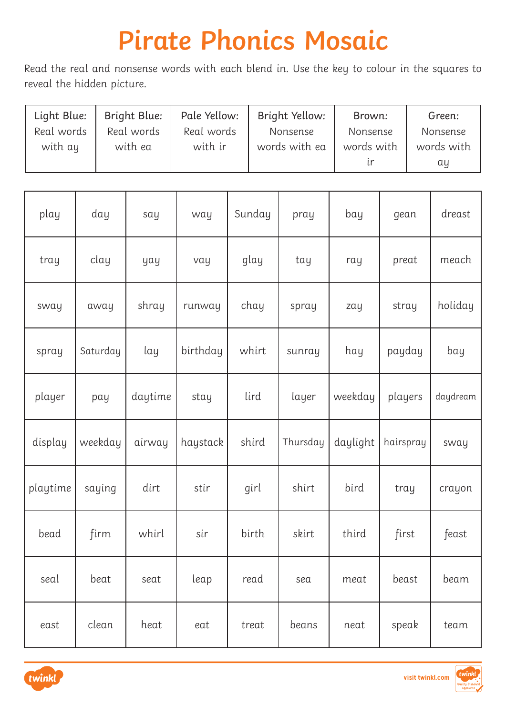| Light Blue: | Bright Blue: | Pale Yellow: | Bright Yellow: | Brown:     | Green:     |
|-------------|--------------|--------------|----------------|------------|------------|
| Real words  | Real words   | Real words   | Nonsense       | Nonsense   | Nonsense   |
| with ay     | with ea      | with ir      | words with ea  | words with | words with |
|             |              |              |                |            | αų         |

| play     | day      | say     | way      | Sunday | pray     | bay      | gean      | dreast   |
|----------|----------|---------|----------|--------|----------|----------|-----------|----------|
| tray     | clay     | yay     | vay      | glay   | tay      | ray      | preat     | meach    |
| sway     | away     | shray   | runway   | chay   | spray    | zay      | stray     | holiday  |
| spray    | Saturday | lay     | birthday | whirt  | sunray   | hay      | payday    | bay      |
| player   | pay      | daytime | stay     | lird   | layer    | weekday  | players   | daydream |
| display  | weekday  | airway  | haystack | shird  | Thursday | daylight | hairspray | sway     |
| playtime | saying   | dirt    | stir     | girl   | shirt    | bird     | tray      | crayon   |
| bead     | firm     | whirl   | sir      | birth  | skirt    | third    | first     | feast    |
| seal     | beat     | seat    | leap     | read   | sea      | meat     | beast     | beam     |
| east     | clean    | heat    | eat      | treat  | beans    | neat     | speak     | team     |



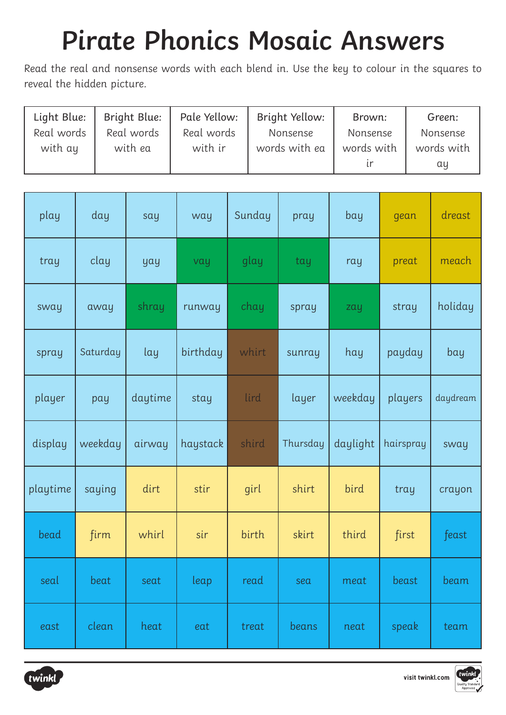| Light Blue: | Bright Blue: | Pale Yellow: | Bright Yellow: | Brown:     | Green:     |
|-------------|--------------|--------------|----------------|------------|------------|
| Real words  | Real words   | Real words   | Nonsense       | Nonsense   | Nonsense   |
| with ay     | with ea      | with ir      | words with ea  | words with | words with |
|             |              |              |                |            | αy         |

| play     | day      | say     | way      | Sunday | pray     | bay      | gean      | dreast   |
|----------|----------|---------|----------|--------|----------|----------|-----------|----------|
| tray     | clay     | yay     | vay      | glay   | tay      | ray      | preat     | meach    |
| sway     | away     | shray   | runway   | chay   | spray    | zay      | stray     | holiday  |
| spray    | Saturday | lay     | birthday | whirt  | sunray   | hay      | payday    | bay      |
| player   | pay      | daytime | stay     | lird   | layer    | weekday  | players   | daydream |
| display  | weekday  | airway  | haystack | shird  | Thursday | daylight | hairspray | sway     |
| playtime | saying   | dirt    | stir     | girl   | shirt    | bird     | tray      | crayon   |
| bead     | firm     | whirl   | sir      | birth  | skirt    | third    | first     | feast    |
| seal     | beat     | seat    | leap     | read   | sea      | meat     | beast     | beam     |
| east     | clean    | heat    | eat      | treat  | beans    | neat     | speak     | team     |



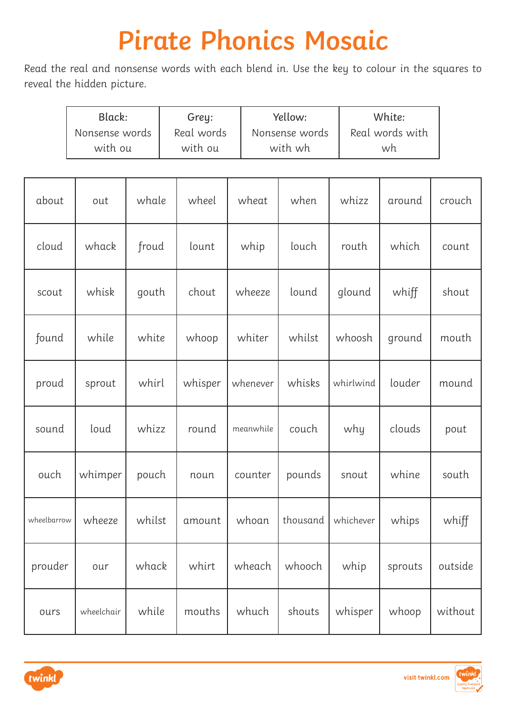| Black:         | Grey:      | Yellow:        | White:          |
|----------------|------------|----------------|-----------------|
| Nonsense words | Real words | Nonsense words | Real words with |
| with ou        | with ou    | with wh        | wh              |

| about       | out        | whale  | wheel   | wheat     | when     | whizz     | around  | crouch  |
|-------------|------------|--------|---------|-----------|----------|-----------|---------|---------|
| cloud       | whack      | froud  | lount   | whip      | louch    | routh     | which   | count   |
| scout       | whisk      | gouth  | chout   | wheeze    | lound    | glound    | whiff   | shout   |
| found       | while      | white  | whoop   | whiter    | whilst   | whoosh    | ground  | mouth   |
| proud       | sprout     | whirl  | whisper | whenever  | whisks   | whirlwind | louder  | mound   |
| sound       | loud       | whizz  | round   | meanwhile | couch    | why       | clouds  | pout    |
| ouch        | whimper    | pouch  | noun    | counter   | pounds   | snout     | whine   | south   |
| wheelbarrow | wheeze     | whilst | amount  | whoan     | thousand | whichever | whips   | whiff   |
| prouder     | our        | whack  | whirt   | wheach    | whooch   | whip      | sprouts | outside |
| ours        | wheelchair | while  | mouths  | whuch     | shouts   | whisper   | whoop   | without |

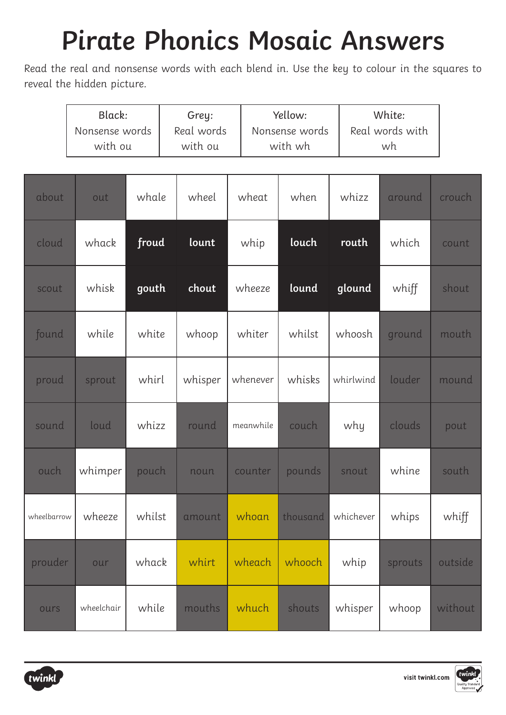|             | Black:<br>Grey:<br>Real words<br>Nonsense words<br>with ou<br>with ou |        |         | Yellow:<br>Nonsense words<br>with wh |  | White:<br>Real words with<br>wh |           |         |         |
|-------------|-----------------------------------------------------------------------|--------|---------|--------------------------------------|--|---------------------------------|-----------|---------|---------|
| about       | out                                                                   | whale  | wheel   | wheat                                |  | when                            | whizz     | around  | crouch  |
| cloud       | whack                                                                 | froud  | lount   | whip                                 |  | louch                           | routh     | which   | count   |
| scout       | whisk                                                                 | gouth  | chout   | wheeze                               |  | lound                           | glound    | whiff   | shout   |
| found       | while                                                                 | white  | whoop   | whiter                               |  | whilst                          | whoosh    | ground  | mouth   |
| proud       | sprout                                                                | whirl  | whisper | whenever                             |  | whisks                          | whirlwind | louder  | mound   |
| sound       | loud                                                                  | whizz  | round   | meanwhile                            |  | couch                           | why       | clouds  | pout    |
| ouch        | whimper                                                               | pouch  | noun    | counter                              |  | pounds                          | snout     | whine   | south   |
| wheelbarrow | wheeze                                                                | whilst | amount  | whoan                                |  | thousand                        | whichever | whips   | whiff   |
| prouder     | our                                                                   | whack  | whirt   | wheach                               |  | whooch                          | whip      | sprouts | outside |
| ours        | wheelchair                                                            | while  | mouths  | whuch                                |  | shouts                          | whisper   | whoop   | without |



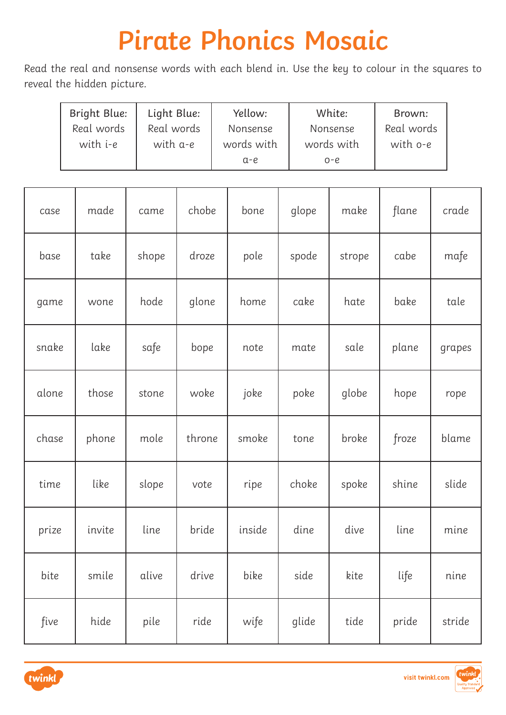| Bright Blue: | Light Blue: | Yellow:    | White:     | Brown:     |
|--------------|-------------|------------|------------|------------|
| Real words   | Real words  | Nonsense   | Nonsense   | Real words |
| with i-e     | with a-e    | words with | words with | with o-e   |
|              |             | $a-e$      | $O - C$    |            |

| case  | made   | came  | chobe  | bone   | glope | make   | flane | crade  |
|-------|--------|-------|--------|--------|-------|--------|-------|--------|
| base  | take   | shope | droze  | pole   | spode | strope | cabe  | mafe   |
| game  | wone   | hode  | glone  | home   | cake  | hate   | bake  | tale   |
| snake | lake   | safe  | bope   | note   | mate  | sale   | plane | grapes |
| alone | those  | stone | woke   | joke   | poke  | globe  | hope  | rope   |
| chase | phone  | mole  | throne | smoke  | tone  | broke  | froze | blame  |
| time  | like   | slope | vote   | ripe   | choke | spoke  | shine | slide  |
| prize | invite | line  | bride  | inside | dine  | dive   | line  | mine   |
| bite  | smile  | alive | drive  | bike   | side  | kite   | life  | nine   |
| five  | hide   | pile  | ride   | wife   | glide | tide   | pride | stride |



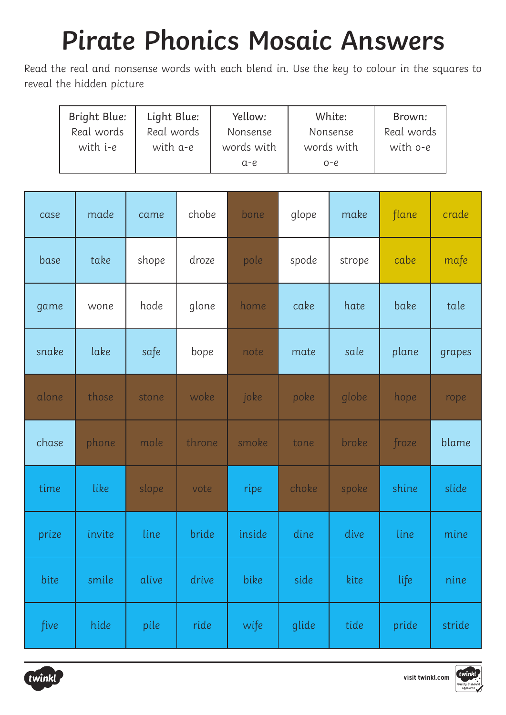| Bright Blue: | Light Blue: | Yellow:    | White:     | Brown:     |
|--------------|-------------|------------|------------|------------|
| Real words   | Real words  | Nonsense   | Nonsense   | Real words |
| with i-e     | with a-e    | words with | words with | with o-e   |
|              |             | $a-e$      | $O - C$    |            |

| case  | made   | came  | chobe  | bone   | glope | make   | flane       | crade  |
|-------|--------|-------|--------|--------|-------|--------|-------------|--------|
| base  | take   | shope | droze  | pole   | spode | strope | cabe        | mafe   |
| game  | wone   | hode  | glone  | home   | cake  | hate   | bake        | tale   |
| snake | lake   | safe  | bope   | note   | mate  | sale   | plane       | grapes |
| alone | those  | stone | woke   | joke   | poke  | globe  | hope        | rope   |
| chase | phone  | mole  | throne | smoke  | tone  | broke  | froze       | blame  |
| time  | like   | slope | vote   | ripe   | choke | spoke  | shine       | slide  |
| prize | invite | line  | bride  | inside | dine  | dive   | <b>line</b> | mine   |
| bite  | smile  | alive | drive  | bike   | side  | kite   | life        | nine   |
| five  | hide   | pile  | ride   | wife   | glide | tide   | pride       | stride |



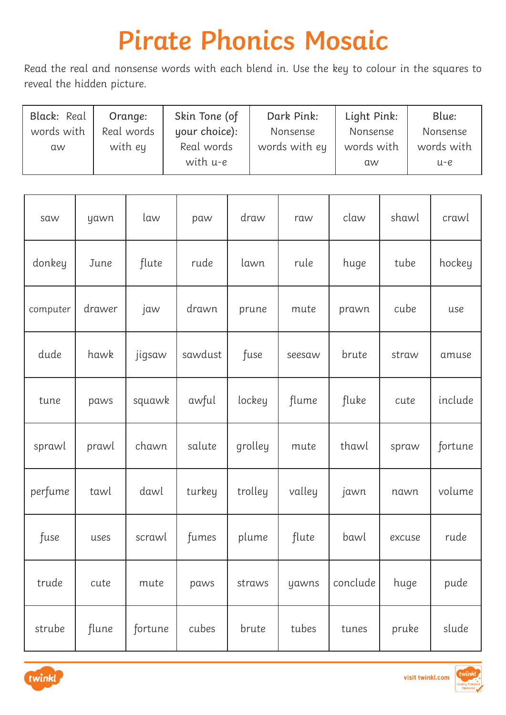| Black: Real | Orange:    | Skin Tone (of | Dark Pink:    | Light Pink: | Blue:      |
|-------------|------------|---------------|---------------|-------------|------------|
| words with  | Real words | your choice): | Nonsense      | Nonsense    | Nonsense   |
| aw          | with ey    | Real words    | words with ey | words with  | words with |
|             |            | with u-e      |               | <b>aw</b>   | u-e        |

| saw      | yawn   | law     | paw     | draw    | raw    | claw     | shawl  | crawl   |
|----------|--------|---------|---------|---------|--------|----------|--------|---------|
| donkey   | June   | flute   | rude    | lawn    | rule   | huge     | tube   | hockey  |
| computer | drawer | jaw     | drawn   | prune   | mute   | prawn    | cube   | use     |
| dude     | hawk   | jigsaw  | sawdust | fuse    | seesaw | brute    | straw  | amuse   |
| tune     | paws   | squawk  | awful   | lockey  | flume  | fluke    | cute   | include |
| sprawl   | prawl  | chawn   | salute  | grolley | mute   | thawl    | spraw  | fortune |
| perfume  | tawl   | dawl    | turkey  | trolley | valley | jawn     | nawn   | volume  |
| fuse     | uses   | scrawl  | fumes   | plume   | flute  | bawl     | excuse | rude    |
| trude    | cute   | mute    | paws    | straws  | yawns  | conclude | huge   | pude    |
| strube   | flune  | fortune | cubes   | brute   | tubes  | tunes    | pruke  | slude   |